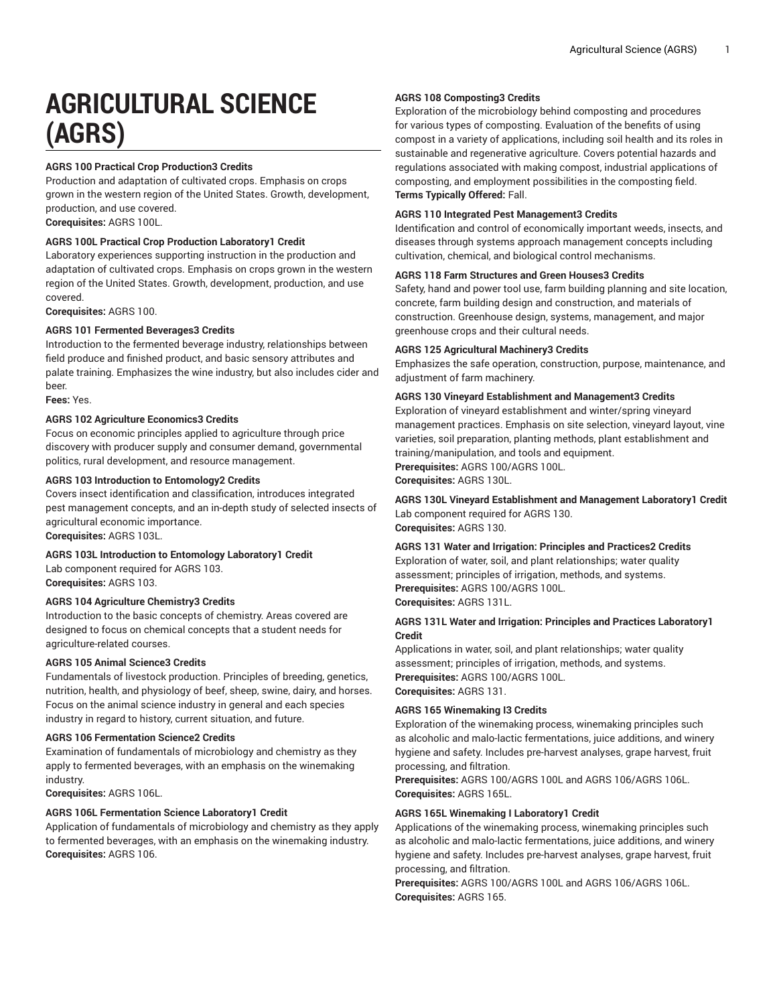# **AGRICULTURAL SCIENCE (AGRS)**

## **AGRS 100 Practical Crop Production3 Credits**

Production and adaptation of cultivated crops. Emphasis on crops grown in the western region of the United States. Growth, development, production, and use covered.

**Corequisites:** AGRS 100L.

# **AGRS 100L Practical Crop Production Laboratory1 Credit**

Laboratory experiences supporting instruction in the production and adaptation of cultivated crops. Emphasis on crops grown in the western region of the United States. Growth, development, production, and use covered.

**Corequisites:** AGRS 100.

#### **AGRS 101 Fermented Beverages3 Credits**

Introduction to the fermented beverage industry, relationships between field produce and finished product, and basic sensory attributes and palate training. Emphasizes the wine industry, but also includes cider and beer.

**Fees:** Yes.

## **AGRS 102 Agriculture Economics3 Credits**

Focus on economic principles applied to agriculture through price discovery with producer supply and consumer demand, governmental politics, rural development, and resource management.

# **AGRS 103 Introduction to Entomology2 Credits**

Covers insect identification and classification, introduces integrated pest management concepts, and an in-depth study of selected insects of agricultural economic importance. **Corequisites:** AGRS 103L.

## **AGRS 103L Introduction to Entomology Laboratory1 Credit**

Lab component required for AGRS 103. **Corequisites:** AGRS 103.

### **AGRS 104 Agriculture Chemistry3 Credits**

Introduction to the basic concepts of chemistry. Areas covered are designed to focus on chemical concepts that a student needs for agriculture-related courses.

#### **AGRS 105 Animal Science3 Credits**

Fundamentals of livestock production. Principles of breeding, genetics, nutrition, health, and physiology of beef, sheep, swine, dairy, and horses. Focus on the animal science industry in general and each species industry in regard to history, current situation, and future.

#### **AGRS 106 Fermentation Science2 Credits**

Examination of fundamentals of microbiology and chemistry as they apply to fermented beverages, with an emphasis on the winemaking industry.

**Corequisites:** AGRS 106L.

# **AGRS 106L Fermentation Science Laboratory1 Credit**

Application of fundamentals of microbiology and chemistry as they apply to fermented beverages, with an emphasis on the winemaking industry. **Corequisites:** AGRS 106.

# **AGRS 108 Composting3 Credits**

Exploration of the microbiology behind composting and procedures for various types of composting. Evaluation of the benefits of using compost in a variety of applications, including soil health and its roles in sustainable and regenerative agriculture. Covers potential hazards and regulations associated with making compost, industrial applications of composting, and employment possibilities in the composting field. **Terms Typically Offered:** Fall.

## **AGRS 110 Integrated Pest Management3 Credits**

Identification and control of economically important weeds, insects, and diseases through systems approach management concepts including cultivation, chemical, and biological control mechanisms.

# **AGRS 118 Farm Structures and Green Houses3 Credits**

Safety, hand and power tool use, farm building planning and site location, concrete, farm building design and construction, and materials of construction. Greenhouse design, systems, management, and major greenhouse crops and their cultural needs.

#### **AGRS 125 Agricultural Machinery3 Credits**

Emphasizes the safe operation, construction, purpose, maintenance, and adjustment of farm machinery.

# **AGRS 130 Vineyard Establishment and Management3 Credits**

Exploration of vineyard establishment and winter/spring vineyard management practices. Emphasis on site selection, vineyard layout, vine varieties, soil preparation, planting methods, plant establishment and training/manipulation, and tools and equipment. **Prerequisites:** AGRS 100/AGRS 100L.

**Corequisites:** AGRS 130L.

# **AGRS 130L Vineyard Establishment and Management Laboratory1 Credit** Lab component required for AGRS 130. **Corequisites:** AGRS 130.

# **AGRS 131 Water and Irrigation: Principles and Practices2 Credits**

Exploration of water, soil, and plant relationships; water quality assessment; principles of irrigation, methods, and systems. **Prerequisites:** AGRS 100/AGRS 100L. **Corequisites:** AGRS 131L.

# **AGRS 131L Water and Irrigation: Principles and Practices Laboratory1 Credit**

Applications in water, soil, and plant relationships; water quality assessment; principles of irrigation, methods, and systems. **Prerequisites:** AGRS 100/AGRS 100L. **Corequisites:** AGRS 131.

# **AGRS 165 Winemaking I3 Credits**

Exploration of the winemaking process, winemaking principles such as alcoholic and malo-lactic fermentations, juice additions, and winery hygiene and safety. Includes pre-harvest analyses, grape harvest, fruit processing, and filtration.

**Prerequisites:** AGRS 100/AGRS 100L and AGRS 106/AGRS 106L. **Corequisites:** AGRS 165L.

#### **AGRS 165L Winemaking I Laboratory1 Credit**

Applications of the winemaking process, winemaking principles such as alcoholic and malo-lactic fermentations, juice additions, and winery hygiene and safety. Includes pre-harvest analyses, grape harvest, fruit processing, and filtration.

**Prerequisites:** AGRS 100/AGRS 100L and AGRS 106/AGRS 106L. **Corequisites:** AGRS 165.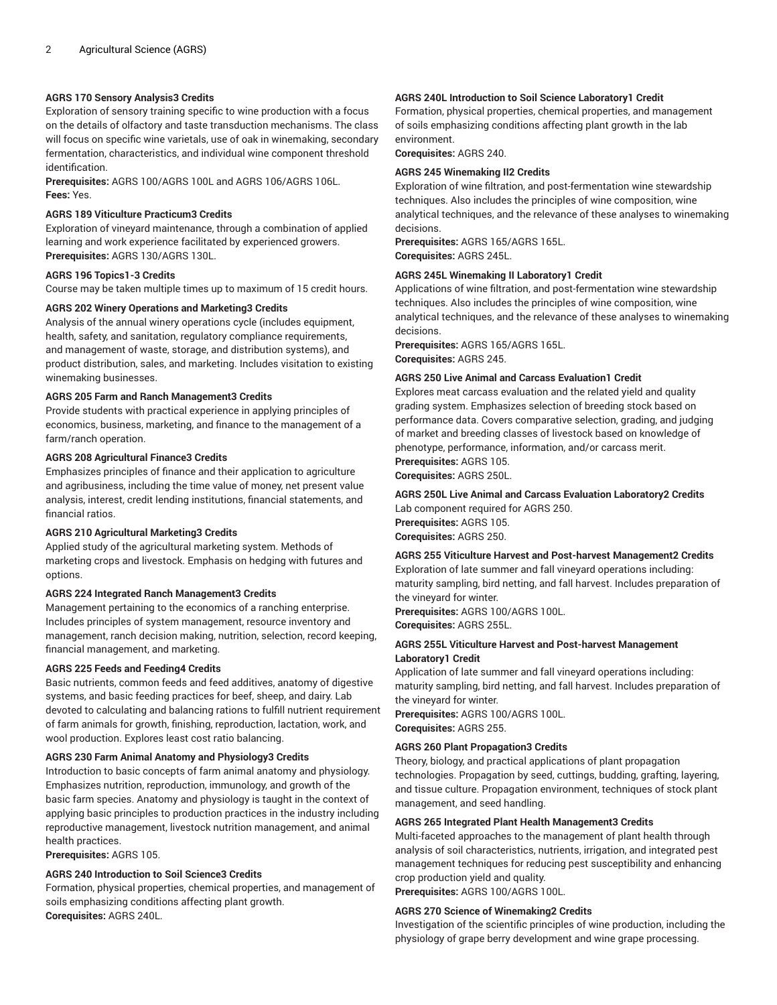# **AGRS 170 Sensory Analysis3 Credits**

Exploration of sensory training specific to wine production with a focus on the details of olfactory and taste transduction mechanisms. The class will focus on specific wine varietals, use of oak in winemaking, secondary fermentation, characteristics, and individual wine component threshold identification.

**Prerequisites:** AGRS 100/AGRS 100L and AGRS 106/AGRS 106L. **Fees:** Yes.

## **AGRS 189 Viticulture Practicum3 Credits**

Exploration of vineyard maintenance, through a combination of applied learning and work experience facilitated by experienced growers. **Prerequisites:** AGRS 130/AGRS 130L.

#### **AGRS 196 Topics1-3 Credits**

Course may be taken multiple times up to maximum of 15 credit hours.

## **AGRS 202 Winery Operations and Marketing3 Credits**

Analysis of the annual winery operations cycle (includes equipment, health, safety, and sanitation, regulatory compliance requirements, and management of waste, storage, and distribution systems), and product distribution, sales, and marketing. Includes visitation to existing winemaking businesses.

#### **AGRS 205 Farm and Ranch Management3 Credits**

Provide students with practical experience in applying principles of economics, business, marketing, and finance to the management of a farm/ranch operation.

#### **AGRS 208 Agricultural Finance3 Credits**

Emphasizes principles of finance and their application to agriculture and agribusiness, including the time value of money, net present value analysis, interest, credit lending institutions, financial statements, and financial ratios.

## **AGRS 210 Agricultural Marketing3 Credits**

Applied study of the agricultural marketing system. Methods of marketing crops and livestock. Emphasis on hedging with futures and options.

#### **AGRS 224 Integrated Ranch Management3 Credits**

Management pertaining to the economics of a ranching enterprise. Includes principles of system management, resource inventory and management, ranch decision making, nutrition, selection, record keeping, financial management, and marketing.

# **AGRS 225 Feeds and Feeding4 Credits**

Basic nutrients, common feeds and feed additives, anatomy of digestive systems, and basic feeding practices for beef, sheep, and dairy. Lab devoted to calculating and balancing rations to fulfill nutrient requirement of farm animals for growth, finishing, reproduction, lactation, work, and wool production. Explores least cost ratio balancing.

#### **AGRS 230 Farm Animal Anatomy and Physiology3 Credits**

Introduction to basic concepts of farm animal anatomy and physiology. Emphasizes nutrition, reproduction, immunology, and growth of the basic farm species. Anatomy and physiology is taught in the context of applying basic principles to production practices in the industry including reproductive management, livestock nutrition management, and animal health practices.

**Prerequisites:** AGRS 105.

## **AGRS 240 Introduction to Soil Science3 Credits**

Formation, physical properties, chemical properties, and management of soils emphasizing conditions affecting plant growth. **Corequisites:** AGRS 240L.

## **AGRS 240L Introduction to Soil Science Laboratory1 Credit**

Formation, physical properties, chemical properties, and management of soils emphasizing conditions affecting plant growth in the lab environment.

**Corequisites:** AGRS 240.

## **AGRS 245 Winemaking II2 Credits**

Exploration of wine filtration, and post-fermentation wine stewardship techniques. Also includes the principles of wine composition, wine analytical techniques, and the relevance of these analyses to winemaking decisions.

**Prerequisites:** AGRS 165/AGRS 165L. **Corequisites:** AGRS 245L.

## **AGRS 245L Winemaking II Laboratory1 Credit**

Applications of wine filtration, and post-fermentation wine stewardship techniques. Also includes the principles of wine composition, wine analytical techniques, and the relevance of these analyses to winemaking decisions.

**Prerequisites:** AGRS 165/AGRS 165L. **Corequisites:** AGRS 245.

#### **AGRS 250 Live Animal and Carcass Evaluation1 Credit**

Explores meat carcass evaluation and the related yield and quality grading system. Emphasizes selection of breeding stock based on performance data. Covers comparative selection, grading, and judging of market and breeding classes of livestock based on knowledge of phenotype, performance, information, and/or carcass merit. **Prerequisites:** AGRS 105.

**Corequisites:** AGRS 250L.

**AGRS 250L Live Animal and Carcass Evaluation Laboratory2 Credits** Lab component required for AGRS 250. **Prerequisites:** AGRS 105.

**Corequisites:** AGRS 250.

**AGRS 255 Viticulture Harvest and Post-harvest Management2 Credits** Exploration of late summer and fall vineyard operations including: maturity sampling, bird netting, and fall harvest. Includes preparation of the vineyard for winter.

**Prerequisites:** AGRS 100/AGRS 100L. **Corequisites:** AGRS 255L.

# **AGRS 255L Viticulture Harvest and Post-harvest Management Laboratory1 Credit**

Application of late summer and fall vineyard operations including: maturity sampling, bird netting, and fall harvest. Includes preparation of the vineyard for winter.

**Prerequisites:** AGRS 100/AGRS 100L. **Corequisites:** AGRS 255.

## **AGRS 260 Plant Propagation3 Credits**

Theory, biology, and practical applications of plant propagation technologies. Propagation by seed, cuttings, budding, grafting, layering, and tissue culture. Propagation environment, techniques of stock plant management, and seed handling.

## **AGRS 265 Integrated Plant Health Management3 Credits**

Multi-faceted approaches to the management of plant health through analysis of soil characteristics, nutrients, irrigation, and integrated pest management techniques for reducing pest susceptibility and enhancing crop production yield and quality.

**Prerequisites:** AGRS 100/AGRS 100L.

#### **AGRS 270 Science of Winemaking2 Credits**

Investigation of the scientific principles of wine production, including the physiology of grape berry development and wine grape processing.